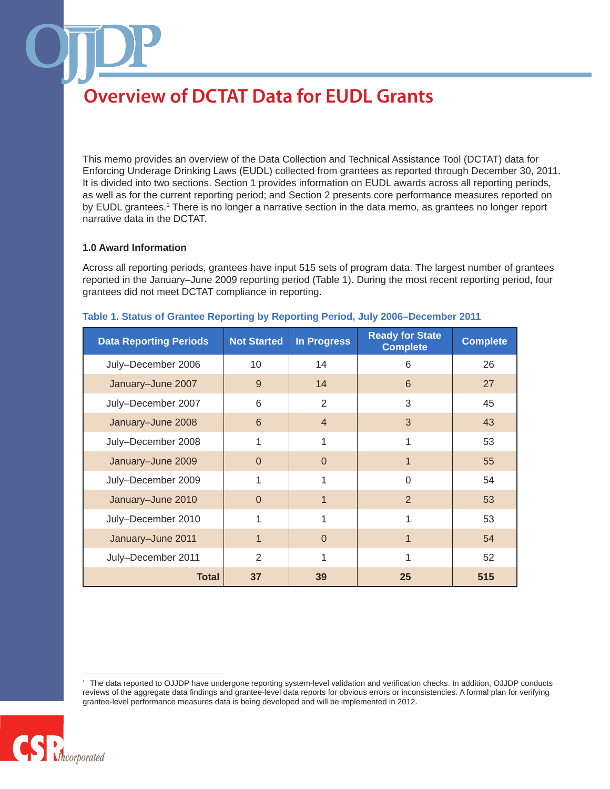This memo provides an overview of the Data Collection and Technical Assistance Tool (DCTAT) data for Enforcing Underage Drinking Laws (EUDL) collected from grantees as reported through December 30, 2011. It is divided into two sections. Section 1 provides information on EUDL awards across all reporting periods, as well as for the current reporting period; and Section 2 presents core performance measures reported on by EUDL grantees.<sup>1</sup> There is no longer a narrative section in the data memo, as grantees no longer report narrative data in the DCTAT.

#### **1.0 Award Information**

Across all reporting periods, grantees have input 515 sets of program data. The largest number of grantees reported in the January–June 2009 reporting period (Table 1). During the most recent reporting period, four grantees did not meet DCTAT compliance in reporting.

| <b>Data Reporting Periods</b> | <b>Not Started</b> | <b>In Progress</b> | <b>Ready for State</b><br><b>Complete</b> | <b>Complete</b> |
|-------------------------------|--------------------|--------------------|-------------------------------------------|-----------------|
| July-December 2006            | 10                 | 14                 | 6                                         | 26              |
| January-June 2007             | 9                  | 14                 | 6                                         | 27              |
| July-December 2007            | 6                  | 2                  | 3                                         | 45              |
| January-June 2008             | 6                  | $\overline{4}$     | 3                                         | 43              |
| July-December 2008            | 1                  | 1                  |                                           | 53              |
| January-June 2009             | 0                  | $\Omega$           | 1                                         | 55              |
| July-December 2009            | 1                  | 1                  | $\Omega$                                  | 54              |
| January-June 2010             | $\Omega$           | $\mathbf 1$        | 2                                         | 53              |
| July-December 2010            | 1                  |                    | 1                                         | 53              |
| January-June 2011             | 1                  | $\Omega$           | 1                                         | 54              |
| July-December 2011            | $\mathbf{2}$       | 1                  |                                           | 52              |
| <b>Total</b>                  | 37                 | 39                 | 25                                        | 515             |

#### **Table 1. Status of Grantee Reporting by Reporting Period, July 2006–December 2011**

The data reported to OJJDP have undergone reporting system-level validation and verification checks. In addition, OJJDP conducts reviews of the aggregate data findings and grantee-level data reports for obvious errors or inconsistencies. A formal plan for verifying grantee-level performance measures data is being developed and will be implemented in 2012.

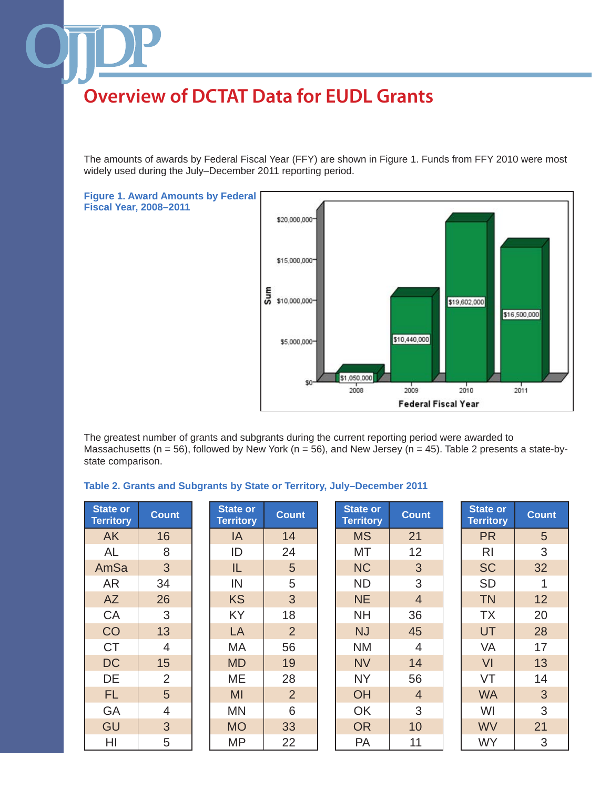The amounts of awards by Federal Fiscal Year (FFY) are shown in Figure 1. Funds from FFY 2010 were most widely used during the July–December 2011 reporting period.





The greatest number of grants and subgrants during the current reporting period were awarded to Massachusetts (n = 56), followed by New York (n = 56), and New Jersey (n = 45). Table 2 presents a state-bystate comparison.

#### **Table 2. Grants and Subgrants by State or Territory, July–December 2011**

| <b>State or</b><br><b>Territory</b> | <b>Count</b>   | <b>State or</b><br><b>Territory</b> | <b>Count</b>   | <b>State or</b><br><b>Territory</b> | <b>Count</b>    | <b>State or</b><br><b>Territory</b> | <b>Count</b> |
|-------------------------------------|----------------|-------------------------------------|----------------|-------------------------------------|-----------------|-------------------------------------|--------------|
| <b>AK</b>                           | 16             | IA                                  | 14             | <b>MS</b>                           | 21              | <b>PR</b>                           | 5            |
| AL                                  | 8              | ID                                  | 24             | <b>MT</b>                           | 12 <sub>2</sub> | R <sub>l</sub>                      | 3            |
| AmSa                                | 3              | IL                                  | 5              | <b>NC</b>                           | 3               | <b>SC</b>                           | 32           |
| <b>AR</b>                           | 34             | IN                                  | 5              | <b>ND</b>                           | 3               | <b>SD</b>                           |              |
| <b>AZ</b>                           | 26             | <b>KS</b>                           | 3              | <b>NE</b>                           | $\overline{4}$  | <b>TN</b>                           | 12           |
| CA                                  | 3              | <b>KY</b>                           | 18             | <b>NH</b>                           | 36              | <b>TX</b>                           | 20           |
| CO                                  | 13             | LA                                  | $\overline{2}$ | <b>NJ</b>                           | 45              | UT                                  | 28           |
| <b>CT</b>                           | $\overline{4}$ | MA                                  | 56             | <b>NM</b>                           | $\overline{4}$  | <b>VA</b>                           | 17           |
| <b>DC</b>                           | 15             | <b>MD</b>                           | 19             | <b>NV</b>                           | 14              | <b>VI</b>                           | 13           |
| DE                                  | $\overline{2}$ | ME                                  | 28             | <b>NY</b>                           | 56              | VT                                  | 14           |
| FL.                                 | 5              | MI                                  | $\overline{2}$ | <b>OH</b>                           | $\overline{4}$  | <b>WA</b>                           | 3            |
| GA                                  | $\overline{4}$ | <b>MN</b>                           | 6              | OK                                  | 3               | WI                                  | 3            |
| GU                                  | 3              | <b>MO</b>                           | 33             | <b>OR</b>                           | 10              | <b>WV</b>                           | 21           |
| HI                                  | 5              | <b>MP</b>                           | 22             | PA                                  | 11              | <b>WY</b>                           | 3            |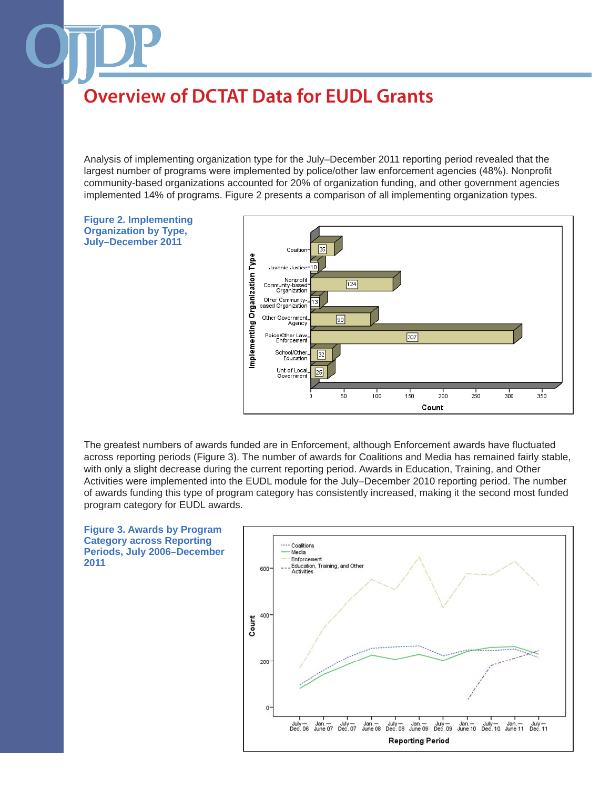Analysis of implementing organization type for the July–December 2011 reporting period revealed that the largest number of programs were implemented by police/other law enforcement agencies (48%). Nonprofit community-based organizations accounted for 20% of organization funding, and other government agencies implemented 14% of programs. Figure 2 presents a comparison of all implementing organization types.



The greatest numbers of awards funded are in Enforcement, although Enforcement awards have fluctuated across reporting periods (Figure 3). The number of awards for Coalitions and Media has remained fairly stable, with only a slight decrease during the current reporting period. Awards in Education, Training, and Other Activities were implemented into the EUDL module for the July–December 2010 reporting period. The number of awards funding this type of program category has consistently increased, making it the second most funded program category for EUDL awards.



**Figure 3. Awards by Program Category across Reporting Periods, July 2006–December 2011**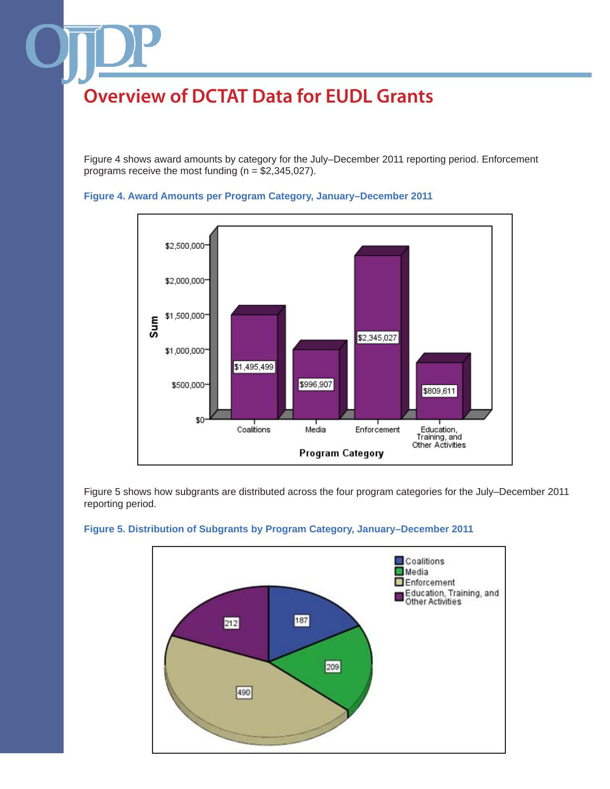Figure 4 shows award amounts by category for the July–December 2011 reporting period. Enforcement programs receive the most funding ( $n = $2,345,027$ ).



#### **Figure 4. Award Amounts per Program Category, January–December 2011**

Figure 5 shows how subgrants are distributed across the four program categories for the July–December 2011 reporting period.



## **Figure 5. Distribution of Subgrants by Program Category, January–December 2011**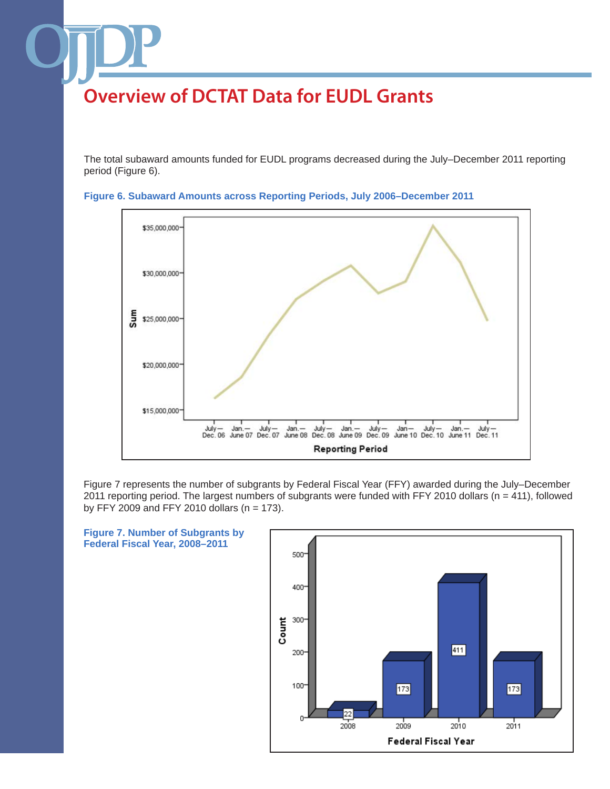The total subaward amounts funded for EUDL programs decreased during the July–December 2011 reporting period (Figure 6).



**Figure 6. Subaward Amounts across Reporting Periods, July 2006–December 2011**

Figure 7 represents the number of subgrants by Federal Fiscal Year (FFY) awarded during the July–December 2011 reporting period. The largest numbers of subgrants were funded with FFY 2010 dollars ( $n = 411$ ), followed by FFY 2009 and FFY 2010 dollars ( $n = 173$ ).



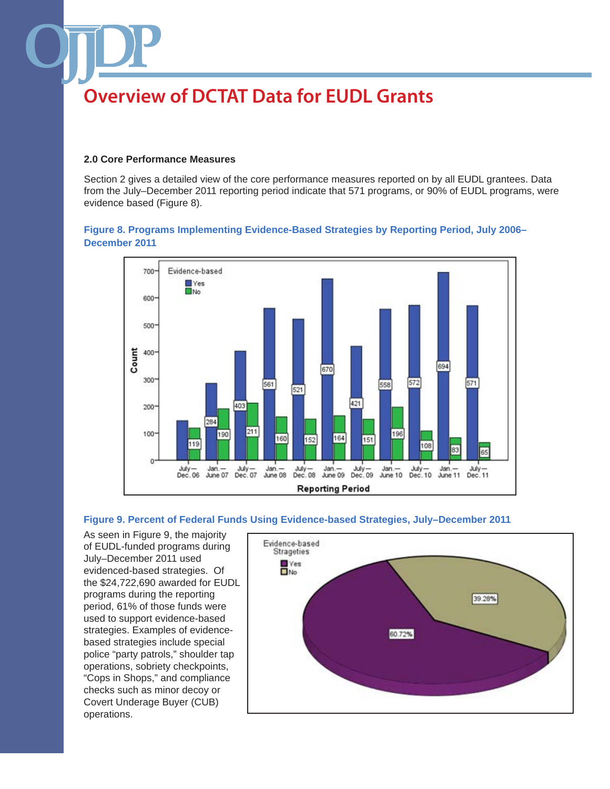#### **2.0 Core Performance Measures**

Section 2 gives a detailed view of the core performance measures reported on by all EUDL grantees. Data from the July–December 2011 reporting period indicate that 571 programs, or 90% of EUDL programs, were evidence based (Figure 8).

## **Figure 8. Programs Implementing Evidence-Based Strategies by Reporting Period, July 2006– December 2011**



#### **Figure 9. Percent of Federal Funds Using Evidence-based Strategies, July–December 2011**

As seen in Figure 9, the majority of EUDL-funded programs during July–December 2011 used evidenced-based strategies. Of the \$24,722,690 awarded for EUDL programs during the reporting period, 61% of those funds were used to support evidence-based strategies. Examples of evidencebased strategies include special police "party patrols," shoulder tap operations, sobriety checkpoints, "Cops in Shops," and compliance checks such as minor decoy or Covert Underage Buyer (CUB) operations.

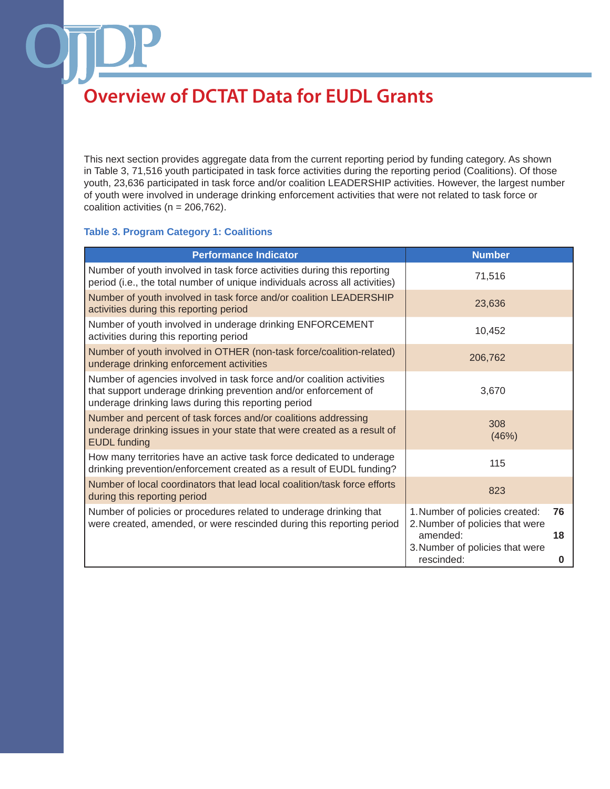This next section provides aggregate data from the current reporting period by funding category. As shown in Table 3, 71,516 youth participated in task force activities during the reporting period (Coalitions). Of those youth, 23,636 participated in task force and/or coalition LEADERSHIP activities. However, the largest number of youth were involved in underage drinking enforcement activities that were not related to task force or coalition activities ( $n = 206,762$ ).

## **Table 3. Program Category 1: Coalitions**

| <b>Performance Indicator</b>                                                                                                                                                                    | <b>Number</b>                                                                             |
|-------------------------------------------------------------------------------------------------------------------------------------------------------------------------------------------------|-------------------------------------------------------------------------------------------|
| Number of youth involved in task force activities during this reporting<br>period (i.e., the total number of unique individuals across all activities)                                          | 71,516                                                                                    |
| Number of youth involved in task force and/or coalition LEADERSHIP<br>activities during this reporting period                                                                                   | 23,636                                                                                    |
| Number of youth involved in underage drinking ENFORCEMENT<br>activities during this reporting period                                                                                            | 10,452                                                                                    |
| Number of youth involved in OTHER (non-task force/coalition-related)<br>underage drinking enforcement activities                                                                                | 206,762                                                                                   |
| Number of agencies involved in task force and/or coalition activities<br>that support underage drinking prevention and/or enforcement of<br>underage drinking laws during this reporting period | 3,670                                                                                     |
| Number and percent of task forces and/or coalitions addressing<br>underage drinking issues in your state that were created as a result of<br><b>EUDL</b> funding                                | 308<br>(46%)                                                                              |
| How many territories have an active task force dedicated to underage<br>drinking prevention/enforcement created as a result of EUDL funding?                                                    | 115                                                                                       |
| Number of local coordinators that lead local coalition/task force efforts<br>during this reporting period                                                                                       | 823                                                                                       |
| Number of policies or procedures related to underage drinking that<br>were created, amended, or were rescinded during this reporting period                                                     | 1. Number of policies created:<br>76<br>2. Number of policies that were<br>amended:<br>18 |
|                                                                                                                                                                                                 | 3. Number of policies that were<br>rescinded:<br>0                                        |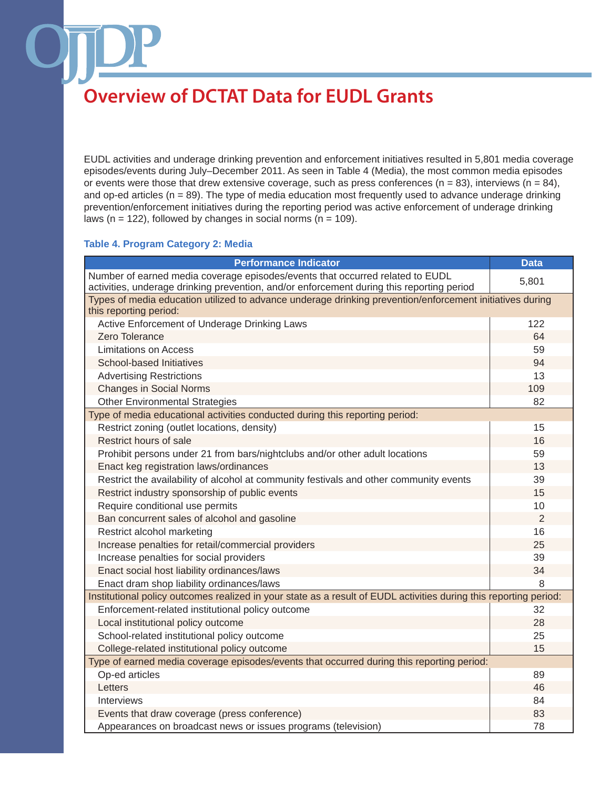EUDL activities and underage drinking prevention and enforcement initiatives resulted in 5,801 media coverage episodes/events during July–December 2011. As seen in Table 4 (Media), the most common media episodes or events were those that drew extensive coverage, such as press conferences ( $n = 83$ ), interviews ( $n = 84$ ), and op-ed articles ( $n = 89$ ). The type of media education most frequently used to advance underage drinking prevention/enforcement initiatives during the reporting period was active enforcement of underage drinking laws ( $n = 122$ ), followed by changes in social norms ( $n = 109$ ).

#### **Table 4. Program Category 2: Media**

| <b>Performance Indicator</b>                                                                                                                                               | <b>Data</b> |
|----------------------------------------------------------------------------------------------------------------------------------------------------------------------------|-------------|
| Number of earned media coverage episodes/events that occurred related to EUDL<br>activities, underage drinking prevention, and/or enforcement during this reporting period | 5,801       |
| Types of media education utilized to advance underage drinking prevention/enforcement initiatives during<br>this reporting period:                                         |             |
| Active Enforcement of Underage Drinking Laws                                                                                                                               | 122         |
| Zero Tolerance                                                                                                                                                             | 64          |
| <b>Limitations on Access</b>                                                                                                                                               | 59          |
| School-based Initiatives                                                                                                                                                   | 94          |
| <b>Advertising Restrictions</b>                                                                                                                                            | 13          |
| <b>Changes in Social Norms</b>                                                                                                                                             | 109         |
| <b>Other Environmental Strategies</b>                                                                                                                                      | 82          |
| Type of media educational activities conducted during this reporting period:                                                                                               |             |
| Restrict zoning (outlet locations, density)                                                                                                                                | 15          |
| Restrict hours of sale                                                                                                                                                     | 16          |
| Prohibit persons under 21 from bars/nightclubs and/or other adult locations                                                                                                | 59          |
| Enact keg registration laws/ordinances                                                                                                                                     | 13          |
| Restrict the availability of alcohol at community festivals and other community events                                                                                     | 39          |
| Restrict industry sponsorship of public events                                                                                                                             | 15          |
| Require conditional use permits                                                                                                                                            | 10          |
| Ban concurrent sales of alcohol and gasoline                                                                                                                               | 2           |
| Restrict alcohol marketing                                                                                                                                                 | 16          |
| Increase penalties for retail/commercial providers                                                                                                                         | 25          |
| Increase penalties for social providers                                                                                                                                    | 39          |
| Enact social host liability ordinances/laws                                                                                                                                | 34          |
| Enact dram shop liability ordinances/laws                                                                                                                                  | 8           |
| Institutional policy outcomes realized in your state as a result of EUDL activities during this reporting period:                                                          |             |
| Enforcement-related institutional policy outcome                                                                                                                           | 32          |
| Local institutional policy outcome                                                                                                                                         | 28          |
| School-related institutional policy outcome                                                                                                                                | 25          |
| College-related institutional policy outcome                                                                                                                               | 15          |
| Type of earned media coverage episodes/events that occurred during this reporting period:                                                                                  |             |
| Op-ed articles                                                                                                                                                             | 89          |
| Letters                                                                                                                                                                    | 46          |
| Interviews                                                                                                                                                                 | 84          |
| Events that draw coverage (press conference)                                                                                                                               | 83          |
| Appearances on broadcast news or issues programs (television)                                                                                                              | 78          |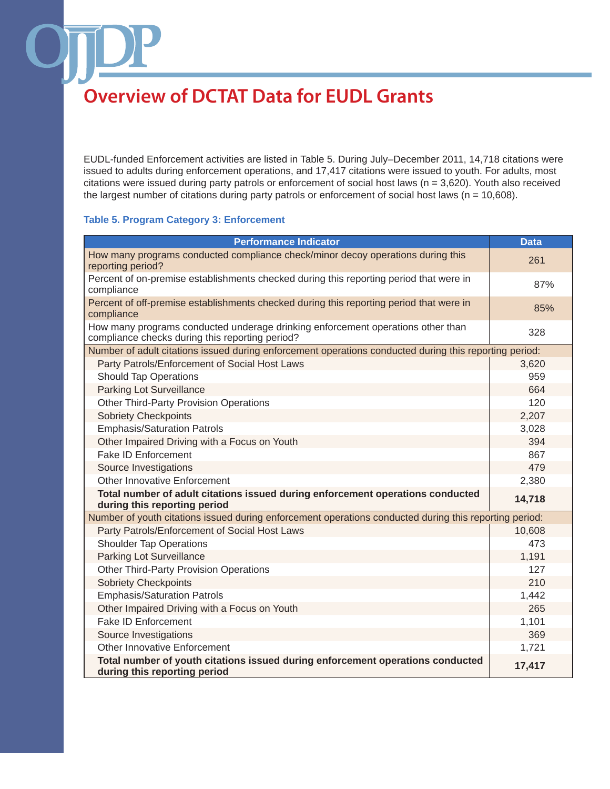EUDL-funded Enforcement activities are listed in Table 5. During July–December 2011, 14,718 citations were issued to adults during enforcement operations, and 17,417 citations were issued to youth. For adults, most citations were issued during party patrols or enforcement of social host laws (n = 3,620). Youth also received the largest number of citations during party patrols or enforcement of social host laws ( $n = 10,608$ ).

### **Table 5. Program Category 3: Enforcement**

| <b>Performance Indicator</b>                                                                                                       | <b>Data</b> |
|------------------------------------------------------------------------------------------------------------------------------------|-------------|
| How many programs conducted compliance check/minor decoy operations during this<br>reporting period?                               | 261         |
| Percent of on-premise establishments checked during this reporting period that were in<br>compliance                               | 87%         |
| Percent of off-premise establishments checked during this reporting period that were in<br>compliance                              | 85%         |
| How many programs conducted underage drinking enforcement operations other than<br>compliance checks during this reporting period? | 328         |
| Number of adult citations issued during enforcement operations conducted during this reporting period:                             |             |
| Party Patrols/Enforcement of Social Host Laws                                                                                      | 3,620       |
| <b>Should Tap Operations</b>                                                                                                       | 959         |
| Parking Lot Surveillance                                                                                                           | 664         |
| <b>Other Third-Party Provision Operations</b>                                                                                      | 120         |
| <b>Sobriety Checkpoints</b>                                                                                                        | 2,207       |
| <b>Emphasis/Saturation Patrols</b>                                                                                                 | 3,028       |
| Other Impaired Driving with a Focus on Youth                                                                                       | 394         |
| <b>Fake ID Enforcement</b>                                                                                                         | 867         |
| Source Investigations                                                                                                              | 479         |
| <b>Other Innovative Enforcement</b>                                                                                                | 2,380       |
| Total number of adult citations issued during enforcement operations conducted<br>during this reporting period                     | 14,718      |
| Number of youth citations issued during enforcement operations conducted during this reporting period:                             |             |
| Party Patrols/Enforcement of Social Host Laws                                                                                      | 10,608      |
| <b>Shoulder Tap Operations</b>                                                                                                     | 473         |
| Parking Lot Surveillance                                                                                                           | 1,191       |
| <b>Other Third-Party Provision Operations</b>                                                                                      | 127         |
| <b>Sobriety Checkpoints</b>                                                                                                        | 210         |
| <b>Emphasis/Saturation Patrols</b>                                                                                                 | 1,442       |
| Other Impaired Driving with a Focus on Youth                                                                                       | 265         |
| Fake ID Enforcement                                                                                                                | 1,101       |
| Source Investigations                                                                                                              | 369         |
| Other Innovative Enforcement                                                                                                       | 1,721       |
| Total number of youth citations issued during enforcement operations conducted<br>during this reporting period                     | 17,417      |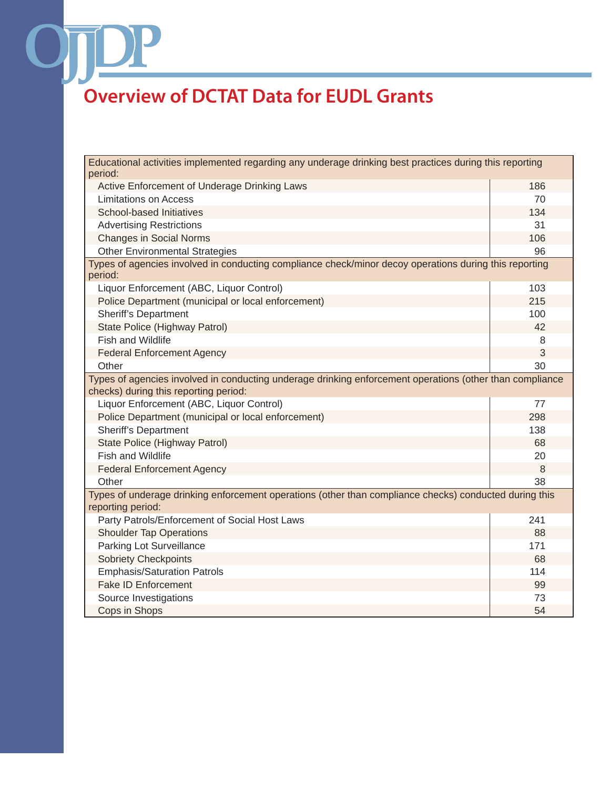OT

| Educational activities implemented regarding any underage drinking best practices during this reporting<br>period:          |     |  |  |  |
|-----------------------------------------------------------------------------------------------------------------------------|-----|--|--|--|
| Active Enforcement of Underage Drinking Laws                                                                                | 186 |  |  |  |
| <b>Limitations on Access</b>                                                                                                | 70  |  |  |  |
| School-based Initiatives                                                                                                    | 134 |  |  |  |
| <b>Advertising Restrictions</b>                                                                                             | 31  |  |  |  |
| <b>Changes in Social Norms</b>                                                                                              | 106 |  |  |  |
| <b>Other Environmental Strategies</b>                                                                                       | 96  |  |  |  |
| Types of agencies involved in conducting compliance check/minor decoy operations during this reporting<br>period:           |     |  |  |  |
| Liquor Enforcement (ABC, Liquor Control)                                                                                    | 103 |  |  |  |
| Police Department (municipal or local enforcement)                                                                          | 215 |  |  |  |
| <b>Sheriff's Department</b>                                                                                                 | 100 |  |  |  |
| State Police (Highway Patrol)                                                                                               | 42  |  |  |  |
| <b>Fish and Wildlife</b>                                                                                                    | 8   |  |  |  |
| <b>Federal Enforcement Agency</b>                                                                                           | 3   |  |  |  |
| Other                                                                                                                       | 30  |  |  |  |
| Types of agencies involved in conducting underage drinking enforcement operations (other than compliance                    |     |  |  |  |
| checks) during this reporting period:                                                                                       |     |  |  |  |
| Liquor Enforcement (ABC, Liquor Control)                                                                                    | 77  |  |  |  |
| Police Department (municipal or local enforcement)                                                                          | 298 |  |  |  |
| <b>Sheriff's Department</b>                                                                                                 | 138 |  |  |  |
| State Police (Highway Patrol)                                                                                               | 68  |  |  |  |
| <b>Fish and Wildlife</b>                                                                                                    | 20  |  |  |  |
| <b>Federal Enforcement Agency</b>                                                                                           | 8   |  |  |  |
| Other                                                                                                                       | 38  |  |  |  |
| Types of underage drinking enforcement operations (other than compliance checks) conducted during this<br>reporting period: |     |  |  |  |
| Party Patrols/Enforcement of Social Host Laws                                                                               | 241 |  |  |  |
| <b>Shoulder Tap Operations</b>                                                                                              | 88  |  |  |  |
| Parking Lot Surveillance                                                                                                    | 171 |  |  |  |
| <b>Sobriety Checkpoints</b>                                                                                                 | 68  |  |  |  |
| <b>Emphasis/Saturation Patrols</b>                                                                                          | 114 |  |  |  |
| <b>Fake ID Enforcement</b>                                                                                                  | 99  |  |  |  |
| Source Investigations                                                                                                       | 73  |  |  |  |
| Cops in Shops                                                                                                               | 54  |  |  |  |